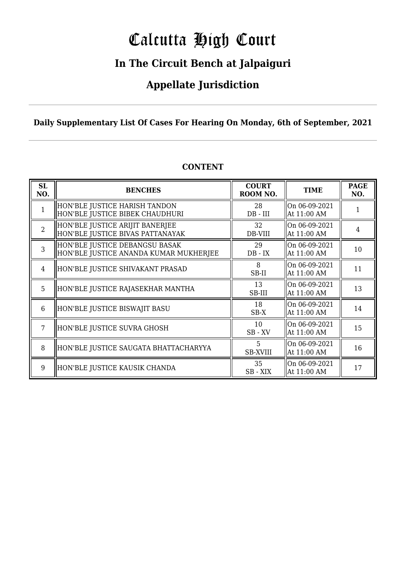# Calcutta High Court

### **In The Circuit Bench at Jalpaiguri**

### **Appellate Jurisdiction**

### **Daily Supplementary List Of Cases For Hearing On Monday, 6th of September, 2021**

| SL<br>NO.      | <b>BENCHES</b>                                                           | <b>COURT</b><br>ROOM NO. | <b>TIME</b>                  | <b>PAGE</b><br>NO. |
|----------------|--------------------------------------------------------------------------|--------------------------|------------------------------|--------------------|
| 1              | HON'BLE JUSTICE HARISH TANDON<br>HON'BLE JUSTICE BIBEK CHAUDHURI         | 28<br>$DB$ - $III$       | On 06-09-2021<br>At 11:00 AM |                    |
| $\overline{2}$ | HON'BLE JUSTICE ARIJIT BANERJEE<br>HON'BLE JUSTICE BIVAS PATTANAYAK      | 32<br>DB-VIII            | On 06-09-2021<br>At 11:00 AM | 4                  |
| 3              | HON'BLE JUSTICE DEBANGSU BASAK<br>HON'BLE JUSTICE ANANDA KUMAR MUKHERJEE | 29<br>$DB - IX$          | On 06-09-2021<br>At 11:00 AM | 10                 |
| $\overline{4}$ | HON'BLE JUSTICE SHIVAKANT PRASAD                                         | 8<br>SB-II               | On 06-09-2021<br>At 11:00 AM | 11                 |
| 5              | HON'BLE JUSTICE RAJASEKHAR MANTHA                                        | 13<br>SB-III             | On 06-09-2021<br>At 11:00 AM | 13                 |
| 6              | HON'BLE JUSTICE BISWAJIT BASU                                            | 18<br>SB-X               | On 06-09-2021<br>At 11:00 AM | 14                 |
|                | HON'BLE JUSTICE SUVRA GHOSH                                              | 10<br>$SB$ - $XV$        | On 06-09-2021<br>At 11:00 AM | 15                 |
| 8              | HON'BLE JUSTICE SAUGATA BHATTACHARYYA                                    | 5<br><b>SB-XVIII</b>     | On 06-09-2021<br>At 11:00 AM | 16                 |
| 9              | HON'BLE JUSTICE KAUSIK CHANDA                                            | 35<br>SB-XIX             | On 06-09-2021<br>At 11:00 AM | 17                 |

### **CONTENT**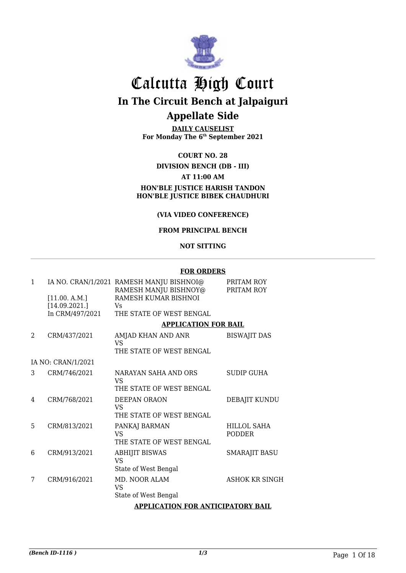

# Calcutta High Court **In The Circuit Bench at Jalpaiguri**

### **Appellate Side**

**DAILY CAUSELIST For Monday The 6th September 2021**

#### **COURT NO. 28**

#### **DIVISION BENCH (DB - III) AT 11:00 AM HON'BLE JUSTICE HARISH TANDON HON'BLE JUSTICE BIBEK CHAUDHURI**

#### **(VIA VIDEO CONFERENCE)**

#### **FROM PRINCIPAL BENCH**

#### **NOT SITTING**

#### **FOR ORDERS**

| $\mathbf{1}$ |                    | IA NO. CRAN/1/2021 RAMESH MANJU BISHNOI@<br>RAMESH MANJU BISHNOY@ | PRITAM ROY<br>PRITAM ROY |
|--------------|--------------------|-------------------------------------------------------------------|--------------------------|
|              | [11.00, A.M.]      | RAMESH KUMAR BISHNOI                                              |                          |
|              | [14.09.2021.]      | Vs                                                                |                          |
|              | In CRM/497/2021    | THE STATE OF WEST BENGAL                                          |                          |
|              |                    | <b>APPLICATION FOR BAIL</b>                                       |                          |
| 2            | CRM/437/2021       | AMJAD KHAN AND ANR<br>VS                                          | <b>BISWAJIT DAS</b>      |
|              |                    | THE STATE OF WEST BENGAL                                          |                          |
|              | IA NO: CRAN/1/2021 |                                                                   |                          |
| 3            | CRM/746/2021       | NARAYAN SAHA AND ORS<br>VS.                                       | SUDIP GUHA               |
|              |                    | THE STATE OF WEST BENGAL                                          |                          |
| 4            | CRM/768/2021       | DEEPAN ORAON<br>VS.                                               | DEBAJIT KUNDU            |
|              |                    | THE STATE OF WEST BENGAL                                          |                          |
| 5            | CRM/813/2021       | PANKAJ BARMAN                                                     | HILLOL SAHA              |
|              |                    | VS                                                                | <b>PODDER</b>            |
|              |                    | THE STATE OF WEST BENGAL                                          |                          |
| 6            | CRM/913/2021       | <b>ABHIJIT BISWAS</b><br><b>VS</b>                                | <b>SMARAJIT BASU</b>     |
|              |                    | State of West Bengal                                              |                          |
| 7            | CRM/916/2021       | MD. NOOR ALAM<br>VS.                                              | <b>ASHOK KR SINGH</b>    |
|              |                    | State of West Bengal                                              |                          |
|              |                    | APPI ICATION FOR ANTICIPATORY RAII                                |                          |

#### **APPLICATION FOR ANTICIPATORY BAIL**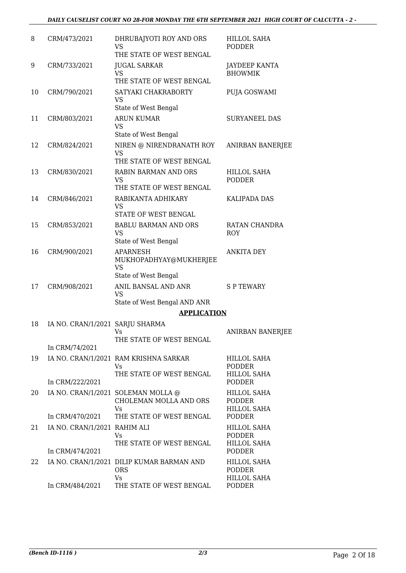| 8  | CRM/473/2021                    | DHRUBAJYOTI ROY AND ORS<br>VS<br>THE STATE OF WEST BENGAL               | <b>HILLOL SAHA</b><br><b>PODDER</b>                       |
|----|---------------------------------|-------------------------------------------------------------------------|-----------------------------------------------------------|
| 9  | CRM/733/2021                    | <b>JUGAL SARKAR</b><br><b>VS</b><br>THE STATE OF WEST BENGAL            | JAYDEEP KANTA<br><b>BHOWMIK</b>                           |
| 10 | CRM/790/2021                    | SATYAKI CHAKRABORTY<br><b>VS</b><br>State of West Bengal                | PUJA GOSWAMI                                              |
| 11 | CRM/803/2021                    | <b>ARUN KUMAR</b><br>VS<br>State of West Bengal                         | <b>SURYANEEL DAS</b>                                      |
| 12 | CRM/824/2021                    | NIREN @ NIRENDRANATH ROY<br><b>VS</b><br>THE STATE OF WEST BENGAL       | <b>ANIRBAN BANERJEE</b>                                   |
| 13 | CRM/830/2021                    | <b>RABIN BARMAN AND ORS</b><br>VS<br>THE STATE OF WEST BENGAL           | <b>HILLOL SAHA</b><br><b>PODDER</b>                       |
| 14 | CRM/846/2021                    | RABIKANTA ADHIKARY<br>VS<br>STATE OF WEST BENGAL                        | <b>KALIPADA DAS</b>                                       |
| 15 | CRM/853/2021                    | <b>BABLU BARMAN AND ORS</b><br>VS<br>State of West Bengal               | RATAN CHANDRA<br>ROY                                      |
| 16 | CRM/900/2021                    | APARNESH<br>MUKHOPADHYAY@MUKHERJEE<br>VS<br>State of West Bengal        | <b>ANKITA DEY</b>                                         |
| 17 | CRM/908/2021                    | ANIL BANSAL AND ANR<br><b>VS</b><br>State of West Bengal AND ANR        | <b>SP TEWARY</b>                                          |
|    |                                 | <b>APPLICATION</b>                                                      |                                                           |
| 18 | IA NO. CRAN/1/2021 SARJU SHARMA | Vs<br>THE STATE OF WEST BENGAL                                          | <b>ANIRBAN BANERJEE</b>                                   |
|    | In CRM/74/2021                  |                                                                         |                                                           |
| 19 |                                 | IA NO. CRAN/1/2021 RAM KRISHNA SARKAR<br>Vs<br>THE STATE OF WEST BENGAL | HILLOL SAHA<br><b>PODDER</b><br>HILLOL SAHA               |
|    | In CRM/222/2021                 |                                                                         | <b>PODDER</b>                                             |
| 20 |                                 | IA NO. CRAN/1/2021 SOLEMAN MOLLA @<br>CHOLEMAN MOLLA AND ORS<br>Vs      | <b>HILLOL SAHA</b><br><b>PODDER</b><br><b>HILLOL SAHA</b> |
|    | In CRM/470/2021                 | THE STATE OF WEST BENGAL                                                | <b>PODDER</b>                                             |
| 21 | IA NO. CRAN/1/2021 RAHIM ALI    | Vs<br>THE STATE OF WEST BENGAL                                          | <b>HILLOL SAHA</b><br>PODDER<br><b>HILLOL SAHA</b>        |
|    | In CRM/474/2021                 |                                                                         | <b>PODDER</b>                                             |
| 22 |                                 | IA NO. CRAN/1/2021 DILIP KUMAR BARMAN AND<br><b>ORS</b><br>Vs           | <b>HILLOL SAHA</b><br><b>PODDER</b><br><b>HILLOL SAHA</b> |
|    | In CRM/484/2021                 | THE STATE OF WEST BENGAL                                                | <b>PODDER</b>                                             |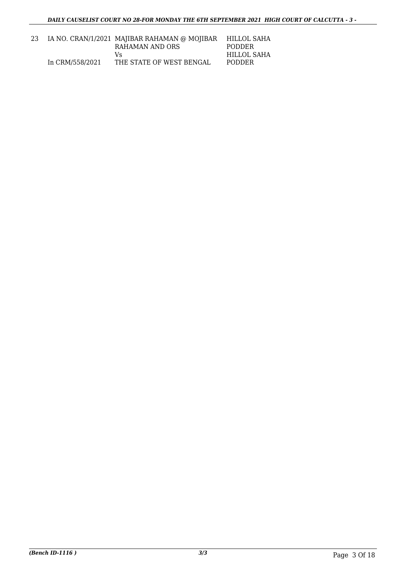| 23 |                 | IA NO. CRAN/1/2021 MAJIBAR RAHAMAN @ MOJIBAR | HILLOL SAHA   |
|----|-----------------|----------------------------------------------|---------------|
|    |                 | RAHAMAN AND ORS                              | <b>PODDER</b> |
|    |                 | Vs                                           | HILLOL SAHA   |
|    | In CRM/558/2021 | THE STATE OF WEST BENGAL                     | <b>PODDER</b> |
|    |                 |                                              |               |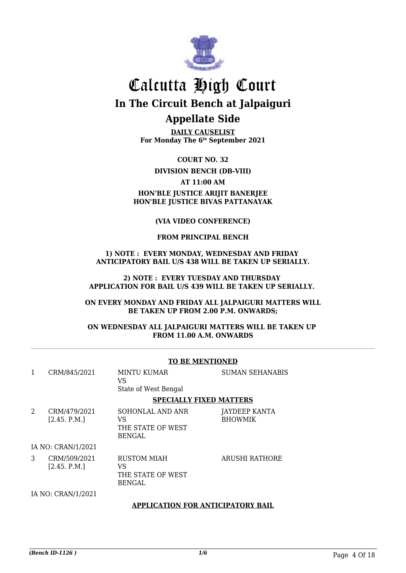

**DAILY CAUSELIST For Monday The 6th September 2021**

**COURT NO. 32**

**DIVISION BENCH (DB-VIII)**

**AT 11:00 AM**

#### **HON'BLE JUSTICE ARIJIT BANERJEE HON'BLE JUSTICE BIVAS PATTANAYAK**

#### **(VIA VIDEO CONFERENCE)**

#### **FROM PRINCIPAL BENCH**

#### **1) NOTE : EVERY MONDAY, WEDNESDAY AND FRIDAY ANTICIPATORY BAIL U/S 438 WILL BE TAKEN UP SERIALLY.**

#### **2) NOTE : EVERY TUESDAY AND THURSDAY APPLICATION FOR BAIL U/S 439 WILL BE TAKEN UP SERIALLY.**

#### **ON EVERY MONDAY AND FRIDAY ALL JALPAIGURI MATTERS WILL BE TAKEN UP FROM 2.00 P.M. ONWARDS;**

#### **ON WEDNESDAY ALL JALPAIGURI MATTERS WILL BE TAKEN UP FROM 11.00 A.M. ONWARDS**

|   |                              | TO DE MENTIONED                                                |                                 |
|---|------------------------------|----------------------------------------------------------------|---------------------------------|
| 1 | CRM/845/2021                 | <b>MINTU KUMAR</b><br>VS<br>State of West Bengal               | <b>SUMAN SEHANABIS</b>          |
|   |                              | <b>SPECIALLY FIXED MATTERS</b>                                 |                                 |
| 2 | CRM/479/2021<br>[2.45. P.M.] | SOHONLAL AND ANR<br>VS<br>THE STATE OF WEST<br><b>BENGAL</b>   | JAYDEEP KANTA<br><b>BHOWMIK</b> |
|   | IA NO: CRAN/1/2021           |                                                                |                                 |
| 3 | CRM/509/2021<br>[2.45. P.M.] | <b>RUSTOM MIAH</b><br>VS<br>THE STATE OF WEST<br><b>BENGAL</b> | ARUSHI RATHORE                  |
|   | IA NO: CRAN/1/2021           |                                                                |                                 |
|   |                              | <b>APPLICATION FOR ANTICIPATORY BAIL</b>                       |                                 |

#### **TO BE MENTIONED**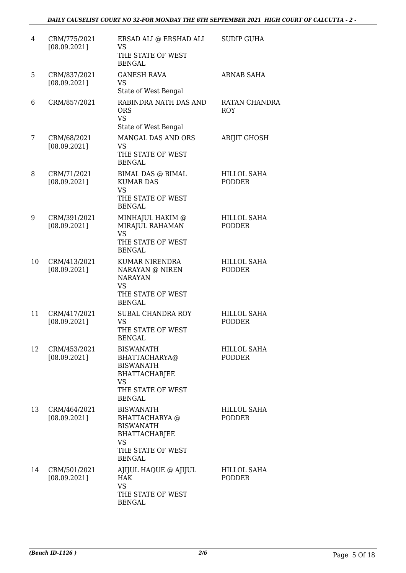| 4  | CRM/775/2021<br>[08.09.2021] | ERSAD ALI @ ERSHAD ALI<br>VS<br>THE STATE OF WEST<br><b>BENGAL</b>                                                                | <b>SUDIP GUHA</b>                   |
|----|------------------------------|-----------------------------------------------------------------------------------------------------------------------------------|-------------------------------------|
| 5  | CRM/837/2021<br>[08.09.2021] | <b>GANESH RAVA</b><br><b>VS</b><br>State of West Bengal                                                                           | <b>ARNAB SAHA</b>                   |
| 6  | CRM/857/2021                 | RABINDRA NATH DAS AND<br><b>ORS</b><br><b>VS</b><br>State of West Bengal                                                          | RATAN CHANDRA<br><b>ROY</b>         |
| 7  | CRM/68/2021<br>[08.09.2021]  | MANGAL DAS AND ORS<br>VS<br>THE STATE OF WEST<br><b>BENGAL</b>                                                                    | <b>ARIJIT GHOSH</b>                 |
| 8  | CRM/71/2021<br>[08.09.2021]  | <b>BIMAL DAS @ BIMAL</b><br><b>KUMAR DAS</b><br><b>VS</b><br>THE STATE OF WEST<br><b>BENGAL</b>                                   | <b>HILLOL SAHA</b><br><b>PODDER</b> |
| 9  | CRM/391/2021<br>[08.09.2021] | MINHAJUL HAKIM @<br>MIRAJUL RAHAMAN<br><b>VS</b><br>THE STATE OF WEST<br><b>BENGAL</b>                                            | <b>HILLOL SAHA</b><br><b>PODDER</b> |
| 10 | CRM/413/2021<br>[08.09.2021] | <b>KUMAR NIRENDRA</b><br>NARAYAN @ NIREN<br><b>NARAYAN</b><br><b>VS</b><br>THE STATE OF WEST<br><b>BENGAL</b>                     | <b>HILLOL SAHA</b><br><b>PODDER</b> |
| 11 | CRM/417/2021<br>[08.09.2021] | <b>SUBAL CHANDRA ROY</b><br>VS<br>THE STATE OF WEST<br><b>BENGAL</b>                                                              | <b>HILLOL SAHA</b><br><b>PODDER</b> |
| 12 | CRM/453/2021<br>[08.09.2021] | <b>BISWANATH</b><br>BHATTACHARYA@<br><b>BISWANATH</b><br><b>BHATTACHARJEE</b><br><b>VS</b><br>THE STATE OF WEST<br><b>BENGAL</b>  | <b>HILLOL SAHA</b><br><b>PODDER</b> |
| 13 | CRM/464/2021<br>[08.09.2021] | <b>BISWANATH</b><br>BHATTACHARYA @<br><b>BISWANATH</b><br><b>BHATTACHARJEE</b><br><b>VS</b><br>THE STATE OF WEST<br><b>BENGAL</b> | <b>HILLOL SAHA</b><br><b>PODDER</b> |
| 14 | CRM/501/2021<br>[08.09.2021] | AJIJUL HAQUE @ AJIJUL<br><b>HAK</b><br><b>VS</b><br>THE STATE OF WEST<br><b>BENGAL</b>                                            | <b>HILLOL SAHA</b><br><b>PODDER</b> |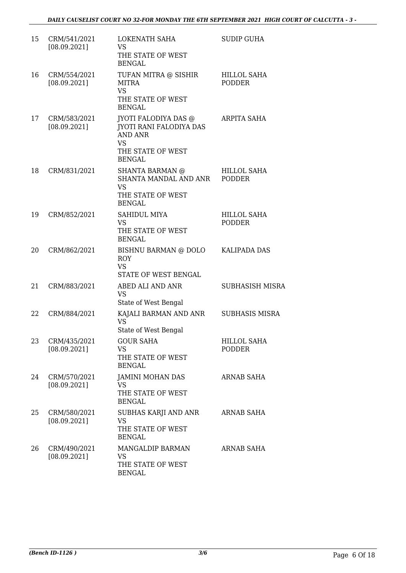| 15 | CRM/541/2021<br>[08.09.2021] | <b>LOKENATH SAHA</b><br><b>VS</b><br>THE STATE OF WEST<br><b>BENGAL</b>                                                            | <b>SUDIP GUHA</b>                   |
|----|------------------------------|------------------------------------------------------------------------------------------------------------------------------------|-------------------------------------|
| 16 | CRM/554/2021<br>[08.09.2021] | TUFAN MITRA @ SISHIR<br><b>MITRA</b><br><b>VS</b><br>THE STATE OF WEST<br><b>BENGAL</b>                                            | <b>HILLOL SAHA</b><br><b>PODDER</b> |
| 17 | CRM/583/2021<br>[08.09.2021] | <b>JYOTI FALODIYA DAS @</b><br><b>JYOTI RANI FALODIYA DAS</b><br><b>AND ANR</b><br><b>VS</b><br>THE STATE OF WEST<br><b>BENGAL</b> | <b>ARPITA SAHA</b>                  |
| 18 | CRM/831/2021                 | SHANTA BARMAN @<br>SHANTA MANDAL AND ANR<br><b>VS</b><br>THE STATE OF WEST<br><b>BENGAL</b>                                        | <b>HILLOL SAHA</b><br><b>PODDER</b> |
| 19 | CRM/852/2021                 | <b>SAHIDUL MIYA</b><br><b>VS</b><br>THE STATE OF WEST<br><b>BENGAL</b>                                                             | <b>HILLOL SAHA</b><br><b>PODDER</b> |
| 20 | CRM/862/2021                 | BISHNU BARMAN @ DOLO<br><b>ROY</b><br><b>VS</b><br>STATE OF WEST BENGAL                                                            | <b>KALIPADA DAS</b>                 |
| 21 | CRM/883/2021                 | ABED ALI AND ANR<br><b>VS</b><br>State of West Bengal                                                                              | <b>SUBHASISH MISRA</b>              |
| 22 | CRM/884/2021                 | KAJALI BARMAN AND ANR<br><b>VS</b><br>State of West Bengal                                                                         | <b>SUBHASIS MISRA</b>               |
| 23 | CRM/435/2021<br>[08.09.2021] | <b>GOUR SAHA</b><br><b>VS</b><br>THE STATE OF WEST<br><b>BENGAL</b>                                                                | <b>HILLOL SAHA</b><br><b>PODDER</b> |
| 24 | CRM/570/2021<br>[08.09.2021] | <b>JAMINI MOHAN DAS</b><br><b>VS</b><br>THE STATE OF WEST<br><b>BENGAL</b>                                                         | <b>ARNAB SAHA</b>                   |
| 25 | CRM/580/2021<br>[08.09.2021] | SUBHAS KARJI AND ANR<br><b>VS</b><br>THE STATE OF WEST<br><b>BENGAL</b>                                                            | <b>ARNAB SAHA</b>                   |
| 26 | CRM/490/2021<br>[08.09.2021] | MANGALDIP BARMAN<br>VS<br>THE STATE OF WEST<br><b>BENGAL</b>                                                                       | ARNAB SAHA                          |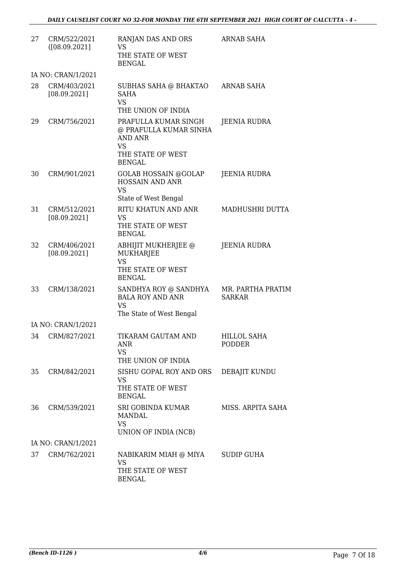| 27 | CRM/522/2021<br>([08.09.2021] | RANJAN DAS AND ORS<br><b>VS</b><br>THE STATE OF WEST<br><b>BENGAL</b>                                               | <b>ARNAB SAHA</b>                  |
|----|-------------------------------|---------------------------------------------------------------------------------------------------------------------|------------------------------------|
|    | IA NO: CRAN/1/2021            |                                                                                                                     |                                    |
| 28 | CRM/403/2021<br>[08.09.2021]  | SUBHAS SAHA @ BHAKTAO<br><b>SAHA</b><br><b>VS</b><br>THE UNION OF INDIA                                             | <b>ARNAB SAHA</b>                  |
| 29 | CRM/756/2021                  | PRAFULLA KUMAR SINGH<br>@ PRAFULLA KUMAR SINHA<br><b>AND ANR</b><br><b>VS</b><br>THE STATE OF WEST<br><b>BENGAL</b> | JEENIA RUDRA                       |
| 30 | CRM/901/2021                  | <b>GOLAB HOSSAIN @GOLAP</b><br><b>HOSSAIN AND ANR</b><br><b>VS</b><br>State of West Bengal                          | <b>JEENIA RUDRA</b>                |
| 31 | CRM/512/2021                  | RITU KHATUN AND ANR                                                                                                 | MADHUSHRI DUTTA                    |
|    | [08.09.2021]                  | <b>VS</b><br>THE STATE OF WEST<br><b>BENGAL</b>                                                                     |                                    |
| 32 | CRM/406/2021<br>[08.09.2021]  | ABHIJIT MUKHERJEE @<br><b>MUKHARJEE</b><br><b>VS</b><br>THE STATE OF WEST<br><b>BENGAL</b>                          | <b>JEENIA RUDRA</b>                |
| 33 | CRM/138/2021                  | SANDHYA ROY @ SANDHYA<br><b>BALA ROY AND ANR</b><br><b>VS</b><br>The State of West Bengal                           | MR. PARTHA PRATIM<br><b>SARKAR</b> |
|    | IA NO: CRAN/1/2021            |                                                                                                                     |                                    |
| 34 | CRM/827/2021                  | TIKARAM GAUTAM AND<br>ANR<br><b>VS</b><br>THE UNION OF INDIA                                                        | <b>HILLOL SAHA</b><br>PODDER       |
| 35 | CRM/842/2021                  | SISHU GOPAL ROY AND ORS<br><b>VS</b><br>THE STATE OF WEST<br><b>BENGAL</b>                                          | DEBAJIT KUNDU                      |
| 36 | CRM/539/2021                  | SRI GOBINDA KUMAR<br><b>MANDAL</b><br><b>VS</b><br>UNION OF INDIA (NCB)                                             | MISS. ARPITA SAHA                  |
|    | IA NO: CRAN/1/2021            |                                                                                                                     |                                    |
| 37 | CRM/762/2021                  | NABIKARIM MIAH @ MIYA<br><b>VS</b><br>THE STATE OF WEST<br><b>BENGAL</b>                                            | SUDIP GUHA                         |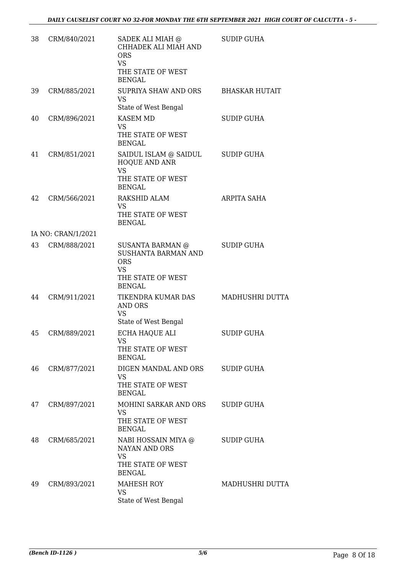| 38 | CRM/840/2021       | SADEK ALI MIAH @<br>CHHADEK ALI MIAH AND<br><b>ORS</b><br><b>VS</b><br>THE STATE OF WEST<br><b>BENGAL</b>              | <b>SUDIP GUHA</b>     |
|----|--------------------|------------------------------------------------------------------------------------------------------------------------|-----------------------|
| 39 | CRM/885/2021       | SUPRIYA SHAW AND ORS<br><b>VS</b>                                                                                      | <b>BHASKAR HUTAIT</b> |
| 40 | CRM/896/2021       | State of West Bengal<br><b>KASEM MD</b><br><b>VS</b><br>THE STATE OF WEST<br><b>BENGAL</b>                             | <b>SUDIP GUHA</b>     |
| 41 | CRM/851/2021       | SAIDUL ISLAM @ SAIDUL<br>HOQUE AND ANR<br><b>VS</b><br>THE STATE OF WEST<br><b>BENGAL</b>                              | <b>SUDIP GUHA</b>     |
| 42 | CRM/566/2021       | RAKSHID ALAM<br><b>VS</b><br>THE STATE OF WEST<br><b>BENGAL</b>                                                        | <b>ARPITA SAHA</b>    |
|    | IA NO: CRAN/1/2021 |                                                                                                                        |                       |
| 43 | CRM/888/2021       | <b>SUSANTA BARMAN @</b><br><b>SUSHANTA BARMAN AND</b><br><b>ORS</b><br><b>VS</b><br>THE STATE OF WEST<br><b>BENGAL</b> | <b>SUDIP GUHA</b>     |
| 44 | CRM/911/2021       | TIKENDRA KUMAR DAS<br><b>AND ORS</b><br><b>VS</b><br>State of West Bengal                                              | MADHUSHRI DUTTA       |
| 45 | CRM/889/2021       | ECHA HAQUE ALI<br>VS<br>THE STATE OF WEST<br><b>BENGAL</b>                                                             | <b>SUDIP GUHA</b>     |
| 46 | CRM/877/2021       | DIGEN MANDAL AND ORS<br><b>VS</b><br>THE STATE OF WEST<br><b>BENGAL</b>                                                | <b>SUDIP GUHA</b>     |
| 47 | CRM/897/2021       | MOHINI SARKAR AND ORS<br><b>VS</b><br>THE STATE OF WEST<br><b>BENGAL</b>                                               | SUDIP GUHA            |
| 48 | CRM/685/2021       | NABI HOSSAIN MIYA @<br>NAYAN AND ORS<br><b>VS</b><br>THE STATE OF WEST<br><b>BENGAL</b>                                | <b>SUDIP GUHA</b>     |
| 49 | CRM/893/2021       | <b>MAHESH ROY</b><br><b>VS</b><br>State of West Bengal                                                                 | MADHUSHRI DUTTA       |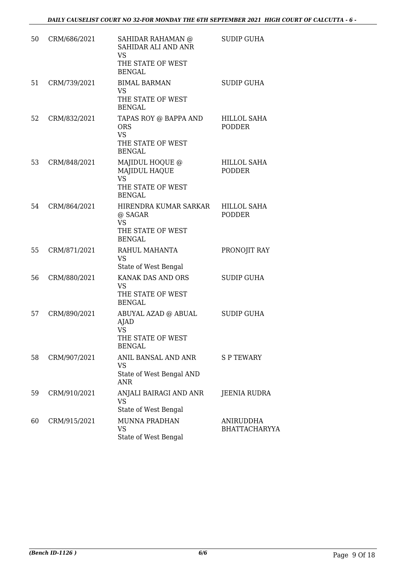| 50 | CRM/686/2021 | SAHIDAR RAHAMAN @<br>SAHIDAR ALI AND ANR<br><b>VS</b><br>THE STATE OF WEST<br><b>BENGAL</b> | <b>SUDIP GUHA</b>                   |
|----|--------------|---------------------------------------------------------------------------------------------|-------------------------------------|
| 51 | CRM/739/2021 | <b>BIMAL BARMAN</b><br><b>VS</b><br>THE STATE OF WEST<br><b>BENGAL</b>                      | <b>SUDIP GUHA</b>                   |
| 52 | CRM/832/2021 | TAPAS ROY @ BAPPA AND<br><b>ORS</b><br><b>VS</b><br>THE STATE OF WEST<br><b>BENGAL</b>      | HILLOL SAHA<br><b>PODDER</b>        |
| 53 | CRM/848/2021 | MAJIDUL HOQUE @<br>MAJIDUL HAQUE<br><b>VS</b><br>THE STATE OF WEST<br><b>BENGAL</b>         | HILLOL SAHA<br><b>PODDER</b>        |
| 54 | CRM/864/2021 | HIRENDRA KUMAR SARKAR<br>@ SAGAR<br><b>VS</b><br>THE STATE OF WEST<br><b>BENGAL</b>         | <b>HILLOL SAHA</b><br><b>PODDER</b> |
| 55 | CRM/871/2021 | RAHUL MAHANTA<br>VS<br>State of West Bengal                                                 | PRONOJIT RAY                        |
| 56 | CRM/880/2021 | KANAK DAS AND ORS<br><b>VS</b><br>THE STATE OF WEST<br><b>BENGAL</b>                        | <b>SUDIP GUHA</b>                   |
| 57 | CRM/890/2021 | ABUYAL AZAD @ ABUAL<br><b>AJAD</b><br><b>VS</b><br>THE STATE OF WEST<br><b>BENGAL</b>       | <b>SUDIP GUHA</b>                   |
| 58 | CRM/907/2021 | ANIL BANSAL AND ANR<br>VS<br>State of West Bengal AND<br><b>ANR</b>                         | <b>SPTEWARY</b>                     |
| 59 | CRM/910/2021 | ANJALI BAIRAGI AND ANR<br>VS<br>State of West Bengal                                        | JEENIA RUDRA                        |
| 60 | CRM/915/2021 | <b>MUNNA PRADHAN</b><br>VS<br>State of West Bengal                                          | ANIRUDDHA<br>BHATTACHARYYA          |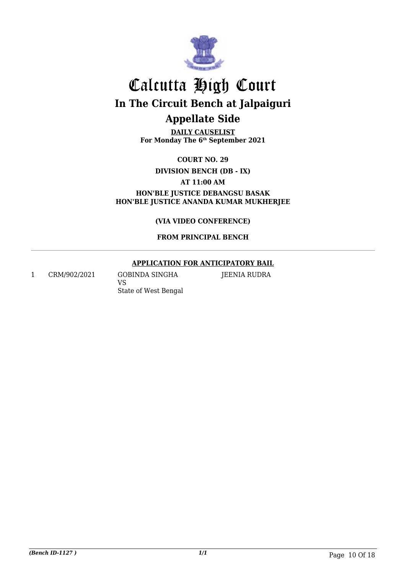

**DAILY CAUSELIST For Monday The 6th September 2021**

**COURT NO. 29**

**DIVISION BENCH (DB - IX)**

**AT 11:00 AM**

**HON'BLE JUSTICE DEBANGSU BASAK HON'BLE JUSTICE ANANDA KUMAR MUKHERJEE**

**(VIA VIDEO CONFERENCE)**

**FROM PRINCIPAL BENCH**

#### **APPLICATION FOR ANTICIPATORY BAIL**

1 CRM/902/2021 GOBINDA SINGHA

VS

JEENIA RUDRA

State of West Bengal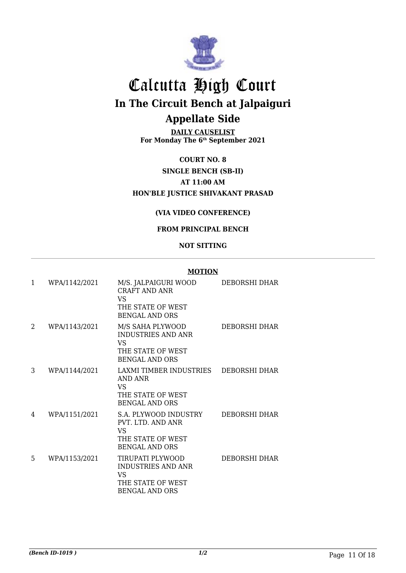

**DAILY CAUSELIST For Monday The 6th September 2021**

**COURT NO. 8 SINGLE BENCH (SB-II) AT 11:00 AM HON'BLE JUSTICE SHIVAKANT PRASAD**

#### **(VIA VIDEO CONFERENCE)**

#### **FROM PRINCIPAL BENCH**

#### **NOT SITTING**

#### **MOTION**

| $\mathbf{1}$ | WPA/1142/2021 | M/S. JALPAIGURI WOOD<br>CRAFT AND ANR<br>VS<br>THE STATE OF WEST<br><b>BENGAL AND ORS</b>                | DEBORSHI DHAR        |
|--------------|---------------|----------------------------------------------------------------------------------------------------------|----------------------|
| 2            | WPA/1143/2021 | M/S SAHA PLYWOOD<br><b>INDUSTRIES AND ANR</b><br><b>VS</b><br>THE STATE OF WEST<br><b>BENGAL AND ORS</b> | DEBORSHI DHAR        |
| 3            | WPA/1144/2021 | LAXMI TIMBER INDUSTRIES<br>AND ANR<br><b>VS</b><br>THE STATE OF WEST<br><b>BENGAL AND ORS</b>            | DEBORSHI DHAR        |
| 4            | WPA/1151/2021 | S.A. PLYWOOD INDUSTRY<br>PVT, LTD, AND ANR<br>VS<br>THE STATE OF WEST<br><b>BENGAL AND ORS</b>           | <b>DEBORSHI DHAR</b> |
| 5            | WPA/1153/2021 | TIRUPATI PLYWOOD<br><b>INDUSTRIES AND ANR</b><br>VS<br>THE STATE OF WEST<br><b>BENGAL AND ORS</b>        | DEBORSHI DHAR        |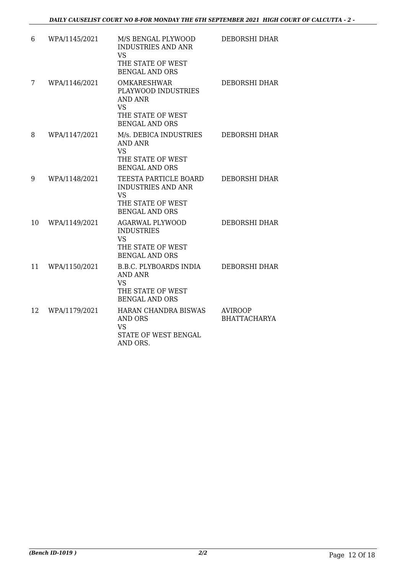| 6  | WPA/1145/2021 | M/S BENGAL PLYWOOD<br><b>INDUSTRIES AND ANR</b><br><b>VS</b><br>THE STATE OF WEST<br><b>BENGAL AND ORS</b>             | DEBORSHI DHAR                         |
|----|---------------|------------------------------------------------------------------------------------------------------------------------|---------------------------------------|
| 7  | WPA/1146/2021 | <b>OMKARESHWAR</b><br>PLAYWOOD INDUSTRIES<br><b>AND ANR</b><br><b>VS</b><br>THE STATE OF WEST<br><b>BENGAL AND ORS</b> | <b>DEBORSHI DHAR</b>                  |
| 8  | WPA/1147/2021 | M/s. DEBICA INDUSTRIES<br><b>AND ANR</b><br><b>VS</b><br>THE STATE OF WEST<br><b>BENGAL AND ORS</b>                    | DEBORSHI DHAR                         |
| 9  | WPA/1148/2021 | TEESTA PARTICLE BOARD<br><b>INDUSTRIES AND ANR</b><br><b>VS</b><br>THE STATE OF WEST<br><b>BENGAL AND ORS</b>          | DEBORSHI DHAR                         |
| 10 | WPA/1149/2021 | <b>AGARWAL PLYWOOD</b><br><b>INDUSTRIES</b><br><b>VS</b><br>THE STATE OF WEST<br><b>BENGAL AND ORS</b>                 | DEBORSHI DHAR                         |
| 11 | WPA/1150/2021 | <b>B.B.C. PLYBOARDS INDIA</b><br><b>AND ANR</b><br><b>VS</b><br>THE STATE OF WEST<br><b>BENGAL AND ORS</b>             | <b>DEBORSHI DHAR</b>                  |
| 12 | WPA/1179/2021 | HARAN CHANDRA BISWAS<br><b>AND ORS</b><br><b>VS</b><br>STATE OF WEST BENGAL<br>AND ORS.                                | <b>AVIROOP</b><br><b>BHATTACHARYA</b> |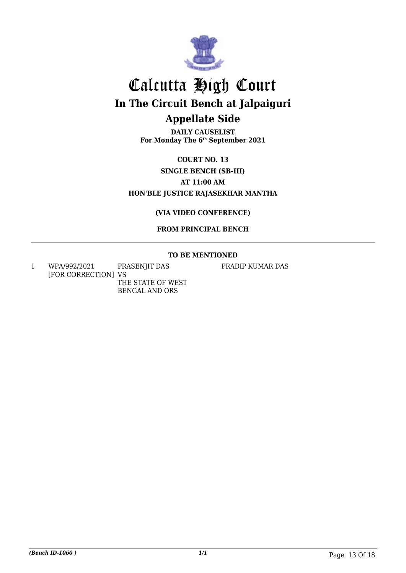

**DAILY CAUSELIST For Monday The 6th September 2021**

**COURT NO. 13 SINGLE BENCH (SB-III) AT 11:00 AM HON'BLE JUSTICE RAJASEKHAR MANTHA**

#### **(VIA VIDEO CONFERENCE)**

#### **FROM PRINCIPAL BENCH**

#### **TO BE MENTIONED**

1 WPA/992/2021 [FOR CORRECTION] VS PRASENJIT DAS THE STATE OF WEST

BENGAL AND ORS

PRADIP KUMAR DAS

*(Bench ID-1060 ) 1/1* Page 13 Of 18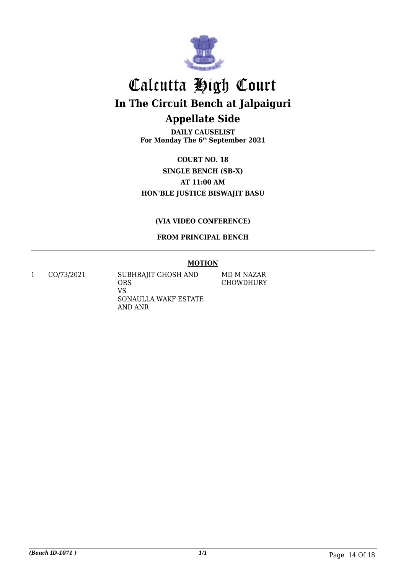

**DAILY CAUSELIST For Monday The 6th September 2021**

**COURT NO. 18 SINGLE BENCH (SB-X) AT 11:00 AM HON'BLE JUSTICE BISWAJIT BASU**

#### **(VIA VIDEO CONFERENCE)**

#### **FROM PRINCIPAL BENCH**

#### **MOTION**

1 CO/73/2021 SUBHRAJIT GHOSH AND ORS VS SONAULLA WAKF ESTATE AND ANR

MD M NAZAR CHOWDHURY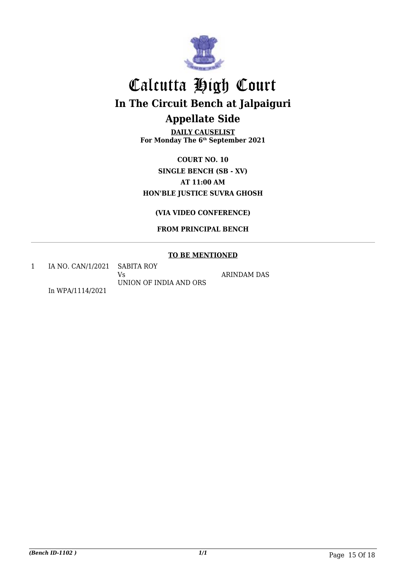

**DAILY CAUSELIST For Monday The 6th September 2021**

**COURT NO. 10 SINGLE BENCH (SB - XV) AT 11:00 AM HON'BLE JUSTICE SUVRA GHOSH**

**(VIA VIDEO CONFERENCE)**

**FROM PRINCIPAL BENCH**

#### **TO BE MENTIONED**

1 IA NO. CAN/1/2021 SABITA ROY Vs UNION OF INDIA AND ORS

ARINDAM DAS

In WPA/1114/2021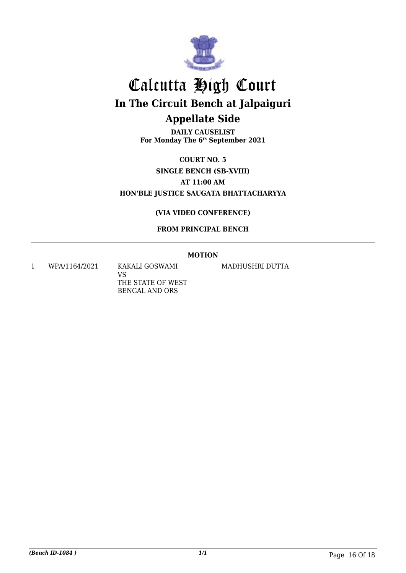

**DAILY CAUSELIST For Monday The 6th September 2021**

**COURT NO. 5 SINGLE BENCH (SB-XVIII) AT 11:00 AM HON'BLE JUSTICE SAUGATA BHATTACHARYYA**

#### **(VIA VIDEO CONFERENCE)**

#### **FROM PRINCIPAL BENCH**

#### **MOTION**

1 WPA/1164/2021 KAKALI GOSWAMI

VS THE STATE OF WEST BENGAL AND ORS

MADHUSHRI DUTTA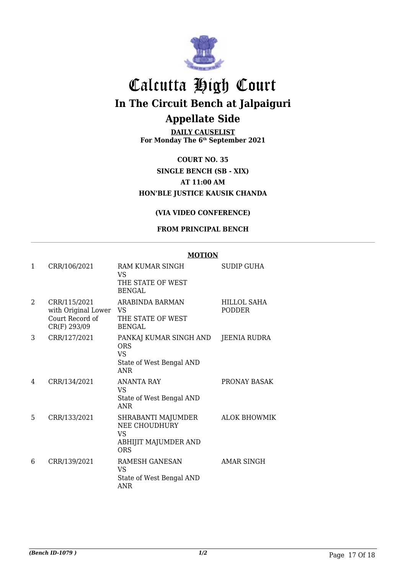

**DAILY CAUSELIST For Monday The 6th September 2021**

**COURT NO. 35 SINGLE BENCH (SB - XIX) AT 11:00 AM HON'BLE JUSTICE KAUSIK CHANDA**

#### **(VIA VIDEO CONFERENCE)**

#### **FROM PRINCIPAL BENCH**

**MOTION**

|                |                                                                           | MUIJUN                                                                                      |                              |
|----------------|---------------------------------------------------------------------------|---------------------------------------------------------------------------------------------|------------------------------|
| 1              | CRR/106/2021                                                              | RAM KUMAR SINGH<br>VS<br>THE STATE OF WEST<br><b>BENGAL</b>                                 | <b>SUDIP GUHA</b>            |
| $\overline{2}$ | CRR/115/2021<br>with Original Lower VS<br>Court Record of<br>CR(F) 293/09 | ARABINDA BARMAN<br>THE STATE OF WEST<br>BENGAL                                              | HILLOL SAHA<br><b>PODDER</b> |
| 3              | CRR/127/2021                                                              | PANKAJ KUMAR SINGH AND<br><b>ORS</b><br><b>VS</b><br>State of West Bengal AND<br><b>ANR</b> | JEENIA RUDRA                 |
| 4              | CRR/134/2021                                                              | <b>ANANTA RAY</b><br>VS.<br>State of West Bengal AND<br><b>ANR</b>                          | PRONAY BASAK                 |
| 5              | CRR/133/2021                                                              | SHRABANTI MAJUMDER<br>NEE CHOUDHURY<br><b>VS</b><br>ABHIJIT MAJUMDER AND<br><b>ORS</b>      | <b>ALOK BHOWMIK</b>          |
| 6              | CRR/139/2021                                                              | RAMESH GANESAN<br><b>VS</b><br>State of West Bengal AND<br><b>ANR</b>                       | AMAR SINGH                   |